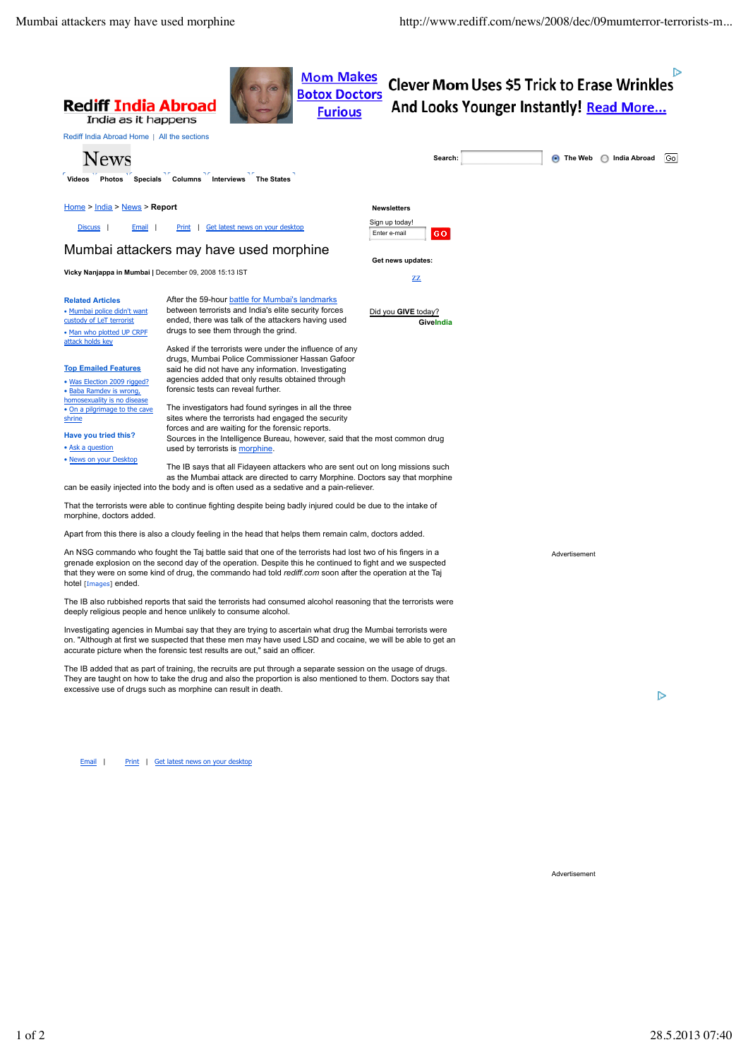ा>



An NSG commando who fought the Taj battle said that one of the terrorists had lost two of his fingers in a grenade explosion on the second day of the operation. Despite this he continued to fight and we suspected that they were on some kind of drug, the commando had told *rediff.com* soon after the operation at the Taj hotel [Images] ended.

The IB also rubbished reports that said the terrorists had consumed alcohol reasoning that the terrorists were deeply religious people and hence unlikely to consume alcohol.

Investigating agencies in Mumbai say that they are trying to ascertain what drug the Mumbai terrorists were on. "Although at first we suspected that these men may have used LSD and cocaine, we will be able to get an accurate picture when the forensic test results are out," said an officer.

The IB added that as part of training, the recruits are put through a separate session on the usage of drugs. They are taught on how to take the drug and also the proportion is also mentioned to them. Doctors say that excessive use of drugs such as morphine can result in death.

 $\triangleright$ 

Email | Print | Get latest news on your desktop

Advertisement